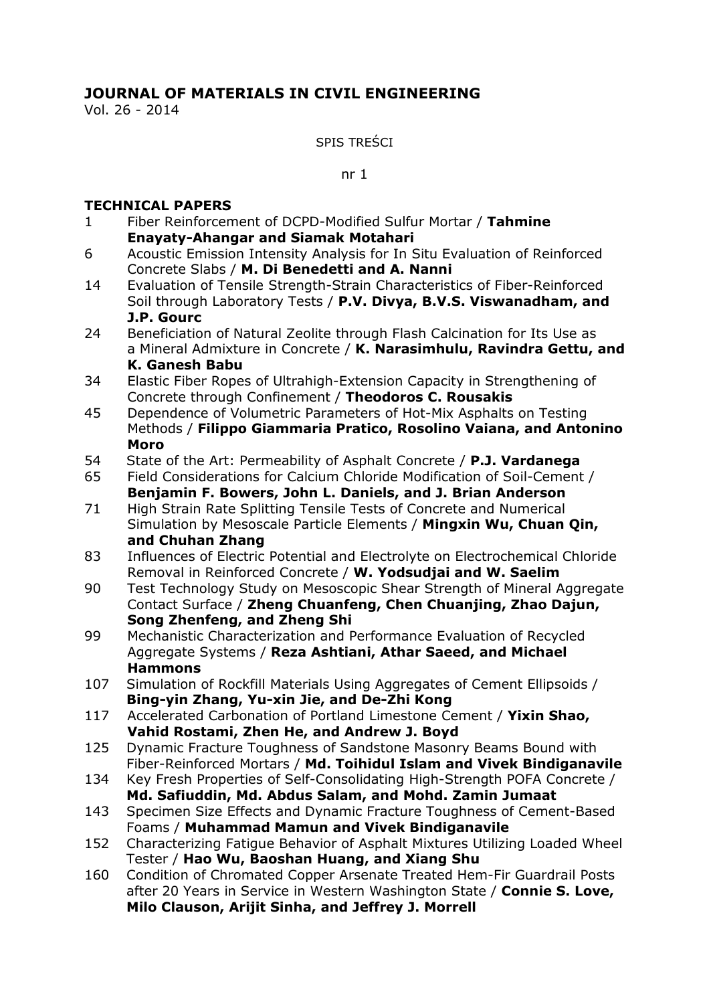# **JOURNAL OF MATERIALS IN CIVIL ENGINEERING**

Vol. 26 - 2014

SPIS TREŚCI

#### nr 1

- 1 Fiber Reinforcement of DCPD-Modified Sulfur Mortar / **Tahmine Enayaty-Ahangar and Siamak Motahari**
- 6 Acoustic Emission Intensity Analysis for In Situ Evaluation of Reinforced Concrete Slabs / **M. Di Benedetti and A. Nanni**
- 14 Evaluation of Tensile Strength-Strain Characteristics of Fiber-Reinforced Soil through Laboratory Tests / **P.V. Divya, B.V.S. Viswanadham, and J.P. Gourc**
- 24 Beneficiation of Natural Zeolite through Flash Calcination for Its Use as a Mineral Admixture in Concrete / **K. Narasimhulu, Ravindra Gettu, and K. Ganesh Babu**
- 34 Elastic Fiber Ropes of Ultrahigh-Extension Capacity in Strengthening of Concrete through Confinement / **Theodoros C. Rousakis**
- 45 Dependence of Volumetric Parameters of Hot-Mix Asphalts on Testing Methods / **Filippo Giammaria Pratico, Rosolino Vaiana, and Antonino Moro**
- 54 State of the Art: Permeability of Asphalt Concrete / **P.J. Vardanega**
- 65 Field Considerations for Calcium Chloride Modification of Soil-Cement / **Benjamin F. Bowers, John L. Daniels, and J. Brian Anderson**
- 71 High Strain Rate Splitting Tensile Tests of Concrete and Numerical Simulation by Mesoscale Particle Elements / **Mingxin Wu, Chuan Qin, and Chuhan Zhang**
- 83 Influences of Electric Potential and Electrolyte on Electrochemical Chloride Removal in Reinforced Concrete / **W. Yodsudjai and W. Saelim**
- 90 Test Technology Study on Mesoscopic Shear Strength of Mineral Aggregate Contact Surface / **Zheng Chuanfeng, Chen Chuanjing, Zhao Dajun, Song Zhenfeng, and Zheng Shi**
- 99 Mechanistic Characterization and Performance Evaluation of Recycled Aggregate Systems / **Reza Ashtiani, Athar Saeed, and Michael Hammons**
- 107 Simulation of Rockfill Materials Using Aggregates of Cement Ellipsoids / **Bing-yin Zhang, Yu-xin Jie, and De-Zhi Kong**
- 117 Accelerated Carbonation of Portland Limestone Cement / **Yixin Shao, Vahid Rostami, Zhen He, and Andrew J. Boyd**
- 125 Dynamic Fracture Toughness of Sandstone Masonry Beams Bound with Fiber-Reinforced Mortars / **Md. Toihidul Islam and Vivek Bindiganavile**
- 134 Key Fresh Properties of Self-Consolidating High-Strength POFA Concrete / **Md. Safiuddin, Md. Abdus Salam, and Mohd. Zamin Jumaat**
- 143 Specimen Size Effects and Dynamic Fracture Toughness of Cement-Based Foams / **Muhammad Mamun and Vivek Bindiganavile**
- 152 Characterizing Fatigue Behavior of Asphalt Mixtures Utilizing Loaded Wheel Tester / **Hao Wu, Baoshan Huang, and Xiang Shu**
- 160 Condition of Chromated Copper Arsenate Treated Hem-Fir Guardrail Posts after 20 Years in Service in Western Washington State / **Connie S. Love, Milo Clauson, Arijit Sinha, and Jeffrey J. Morrell**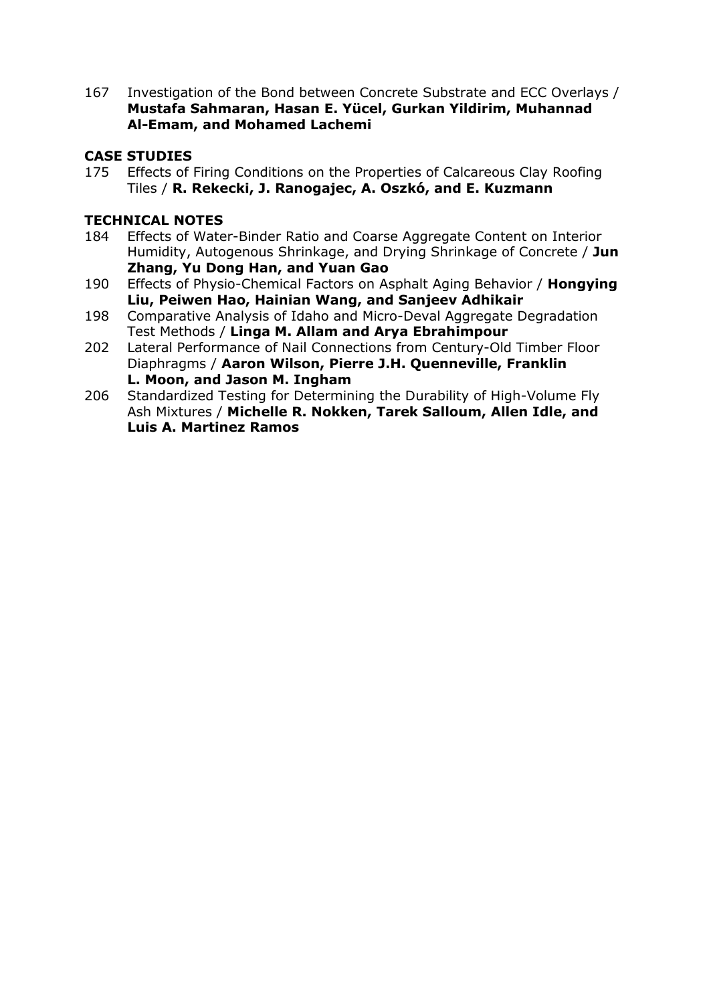167 Investigation of the Bond between Concrete Substrate and ECC Overlays / **Mustafa Sahmaran, Hasan E. Yücel, Gurkan Yildirim, Muhannad Al-Emam, and Mohamed Lachemi** 

## **CASE STUDIES**

175 Effects of Firing Conditions on the Properties of Calcareous Clay Roofing Tiles / **R. Rekecki, J. Ranogajec, A. Oszkó, and E. Kuzmann**

- 184 Effects of Water-Binder Ratio and Coarse Aggregate Content on Interior Humidity, Autogenous Shrinkage, and Drying Shrinkage of Concrete / **Jun Zhang, Yu Dong Han, and Yuan Gao**
- 190 Effects of Physio-Chemical Factors on Asphalt Aging Behavior / **Hongying Liu, Peiwen Hao, Hainian Wang, and Sanjeev Adhikair**
- 198 Comparative Analysis of Idaho and Micro-Deval Aggregate Degradation Test Methods / **Linga M. Allam and Arya Ebrahimpour**
- 202 Lateral Performance of Nail Connections from Century-Old Timber Floor Diaphragms / **Aaron Wilson, Pierre J.H. Quenneville, Franklin L. Moon, and Jason M. Ingham**
- 206 Standardized Testing for Determining the Durability of High-Volume Fly Ash Mixtures / **Michelle R. Nokken, Tarek Salloum, Allen Idle, and Luis A. Martinez Ramos**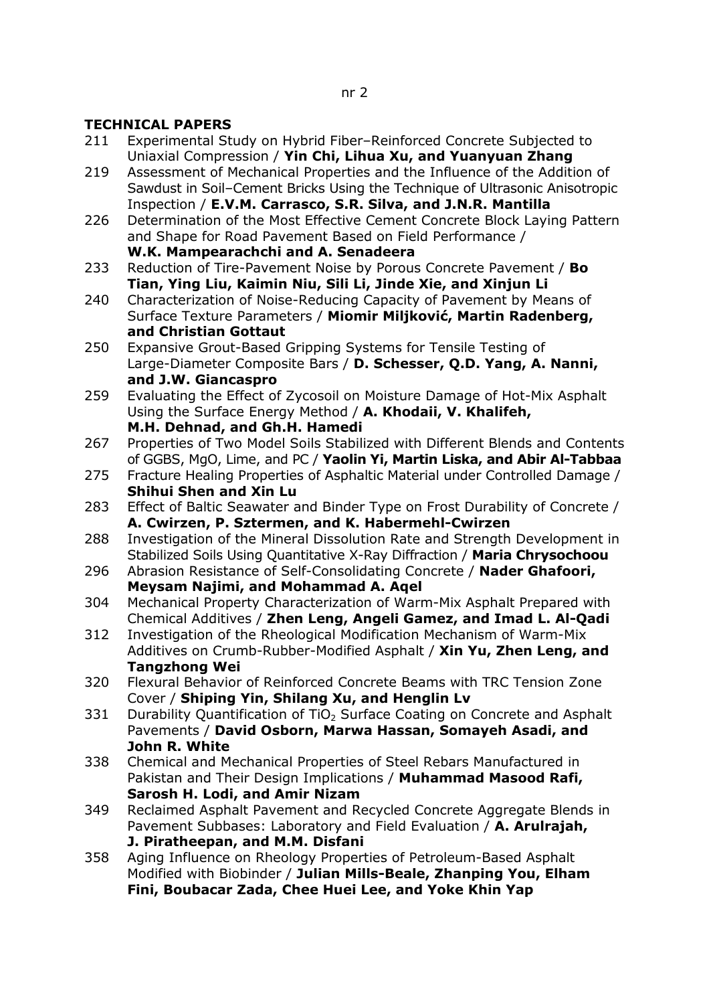- 211 Experimental Study on Hybrid Fiber–Reinforced Concrete Subjected to Uniaxial Compression / **Yin Chi, Lihua Xu, and Yuanyuan Zhang**
- 219 Assessment of Mechanical Properties and the Influence of the Addition of Sawdust in Soil–Cement Bricks Using the Technique of Ultrasonic Anisotropic Inspection / **E.V.M. Carrasco, S.R. Silva, and J.N.R. Mantilla**
- 226 Determination of the Most Effective Cement Concrete Block Laying Pattern and Shape for Road Pavement Based on Field Performance / **W.K. Mampearachchi and A. Senadeera**
- 233 Reduction of Tire-Pavement Noise by Porous Concrete Pavement / **Bo Tian, Ying Liu, Kaimin Niu, Sili Li, Jinde Xie, and Xinjun Li**
- 240 Characterization of Noise-Reducing Capacity of Pavement by Means of Surface Texture Parameters / **Miomir Miljković, Martin Radenberg, and Christian Gottaut**
- 250 Expansive Grout-Based Gripping Systems for Tensile Testing of Large-Diameter Composite Bars / **D. Schesser, Q.D. Yang, A. Nanni, and J.W. Giancaspro**
- 259 Evaluating the Effect of Zycosoil on Moisture Damage of Hot-Mix Asphalt Using the Surface Energy Method / **A. Khodaii, V. Khalifeh, M.H. Dehnad, and Gh.H. Hamedi**
- 267 Properties of Two Model Soils Stabilized with Different Blends and Contents of GGBS, MgO, Lime, and PC / **Yaolin Yi, Martin Liska, and Abir Al-Tabbaa**
- 275 Fracture Healing Properties of Asphaltic Material under Controlled Damage / **Shihui Shen and Xin Lu**
- 283 Effect of Baltic Seawater and Binder Type on Frost Durability of Concrete / **A. Cwirzen, P. Sztermen, and K. Habermehl-Cwirzen**
- 288 Investigation of the Mineral Dissolution Rate and Strength Development in Stabilized Soils Using Quantitative X-Ray Diffraction / **Maria Chrysochoou**
- 296 Abrasion Resistance of Self-Consolidating Concrete / **Nader Ghafoori, Meysam Najimi, and Mohammad A. Aqel**
- 304 Mechanical Property Characterization of Warm-Mix Asphalt Prepared with Chemical Additives / **Zhen Leng, Angeli Gamez, and Imad L. Al-Qadi**
- 312 Investigation of the Rheological Modification Mechanism of Warm-Mix Additives on Crumb-Rubber-Modified Asphalt / **Xin Yu, Zhen Leng, and Tangzhong Wei**
- 320 Flexural Behavior of Reinforced Concrete Beams with TRC Tension Zone Cover / **Shiping Yin, Shilang Xu, and Henglin Lv**
- 331 Durability Quantification of  $TiO<sub>2</sub>$  Surface Coating on Concrete and Asphalt Pavements / **David Osborn, Marwa Hassan, Somayeh Asadi, and John R. White**
- 338 Chemical and Mechanical Properties of Steel Rebars Manufactured in Pakistan and Their Design Implications / **Muhammad Masood Rafi, Sarosh H. Lodi, and Amir Nizam**
- 349 Reclaimed Asphalt Pavement and Recycled Concrete Aggregate Blends in Pavement Subbases: Laboratory and Field Evaluation / **A. Arulrajah, J. Piratheepan, and M.M. Disfani**
- 358 Aging Influence on Rheology Properties of Petroleum-Based Asphalt Modified with Biobinder / **Julian Mills-Beale, Zhanping You, Elham Fini, Boubacar Zada, Chee Huei Lee, and Yoke Khin Yap**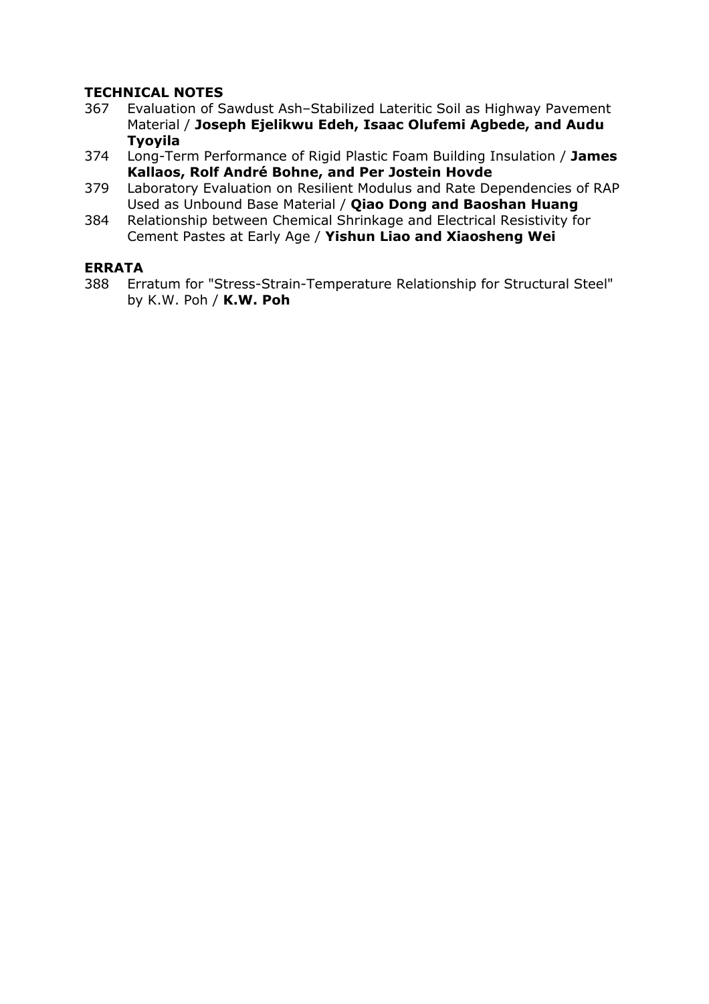- 367 Evaluation of Sawdust Ash–Stabilized Lateritic Soil as Highway Pavement Material / **Joseph Ejelikwu Edeh, Isaac Olufemi Agbede, and Audu Tyoyila**
- 374 Long-Term Performance of Rigid Plastic Foam Building Insulation / **James Kallaos, Rolf André Bohne, and Per Jostein Hovde**
- 379 Laboratory Evaluation on Resilient Modulus and Rate Dependencies of RAP Used as Unbound Base Material / **Qiao Dong and Baoshan Huang**
- 384 Relationship between Chemical Shrinkage and Electrical Resistivity for Cement Pastes at Early Age / **Yishun Liao and Xiaosheng Wei**

## **ERRATA**

388 Erratum for "Stress-Strain-Temperature Relationship for Structural Steel" by K.W. Poh / **K.W. Poh**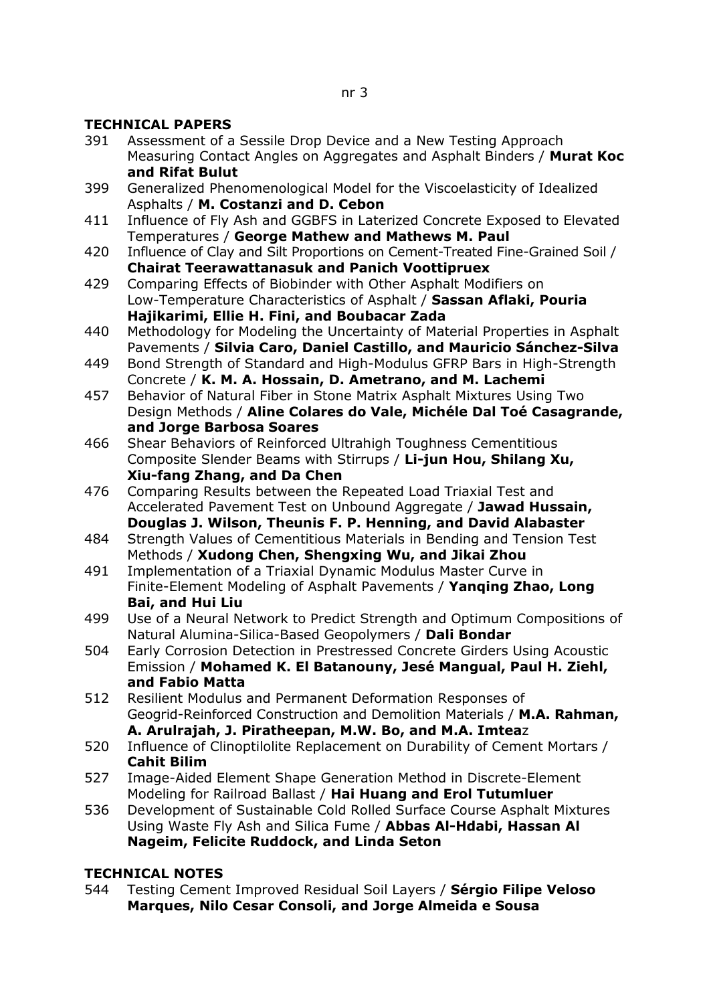- 391 Assessment of a Sessile Drop Device and a New Testing Approach Measuring Contact Angles on Aggregates and Asphalt Binders / **Murat Koc and Rifat Bulut**
- 399 Generalized Phenomenological Model for the Viscoelasticity of Idealized Asphalts / **M. Costanzi and D. Cebon**
- 411 Influence of Fly Ash and GGBFS in Laterized Concrete Exposed to Elevated Temperatures / **George Mathew and Mathews M. Paul**
- 420 Influence of Clay and Silt Proportions on Cement-Treated Fine-Grained Soil / **Chairat Teerawattanasuk and Panich Voottipruex**
- 429 Comparing Effects of Biobinder with Other Asphalt Modifiers on Low-Temperature Characteristics of Asphalt / **Sassan Aflaki, Pouria Hajikarimi, Ellie H. Fini, and Boubacar Zada**
- 440 Methodology for Modeling the Uncertainty of Material Properties in Asphalt Pavements / **Silvia Caro, Daniel Castillo, and Mauricio Sánchez-Silva**
- 449 Bond Strength of Standard and High-Modulus GFRP Bars in High-Strength Concrete / **K. M. A. Hossain, D. Ametrano, and M. Lachemi**
- 457 Behavior of Natural Fiber in Stone Matrix Asphalt Mixtures Using Two Design Methods / **Aline Colares do Vale, Michéle Dal Toé Casagrande, and Jorge Barbosa Soares**
- 466 Shear Behaviors of Reinforced Ultrahigh Toughness Cementitious Composite Slender Beams with Stirrups / **Li-jun Hou, Shilang Xu, Xiu-fang Zhang, and Da Chen**
- 476 Comparing Results between the Repeated Load Triaxial Test and Accelerated Pavement Test on Unbound Aggregate / **Jawad Hussain, Douglas J. Wilson, Theunis F. P. Henning, and David Alabaster**
- 484 Strength Values of Cementitious Materials in Bending and Tension Test Methods / **Xudong Chen, Shengxing Wu, and Jikai Zhou**
- 491 Implementation of a Triaxial Dynamic Modulus Master Curve in Finite-Element Modeling of Asphalt Pavements / **Yanqing Zhao, Long Bai, and Hui Liu**
- 499 Use of a Neural Network to Predict Strength and Optimum Compositions of Natural Alumina-Silica-Based Geopolymers / **Dali Bondar**
- 504 Early Corrosion Detection in Prestressed Concrete Girders Using Acoustic Emission / **Mohamed K. El Batanouny, Jesé Mangual, Paul H. Ziehl, and Fabio Matta**
- 512 Resilient Modulus and Permanent Deformation Responses of Geogrid-Reinforced Construction and Demolition Materials / **M.A. Rahman, A. Arulrajah, J. Piratheepan, M.W. Bo, and M.A. Imtea**z
- 520 Influence of Clinoptilolite Replacement on Durability of Cement Mortars / **Cahit Bilim**
- 527 Image-Aided Element Shape Generation Method in Discrete-Element Modeling for Railroad Ballast / **Hai Huang and Erol Tutumluer**
- 536 Development of Sustainable Cold Rolled Surface Course Asphalt Mixtures Using Waste Fly Ash and Silica Fume / **Abbas Al-Hdabi, Hassan Al Nageim, Felicite Ruddock, and Linda Seton**

## **TECHNICAL NOTES**

544 Testing Cement Improved Residual Soil Layers / **Sérgio Filipe Veloso Marques, Nilo Cesar Consoli, and Jorge Almeida e Sousa**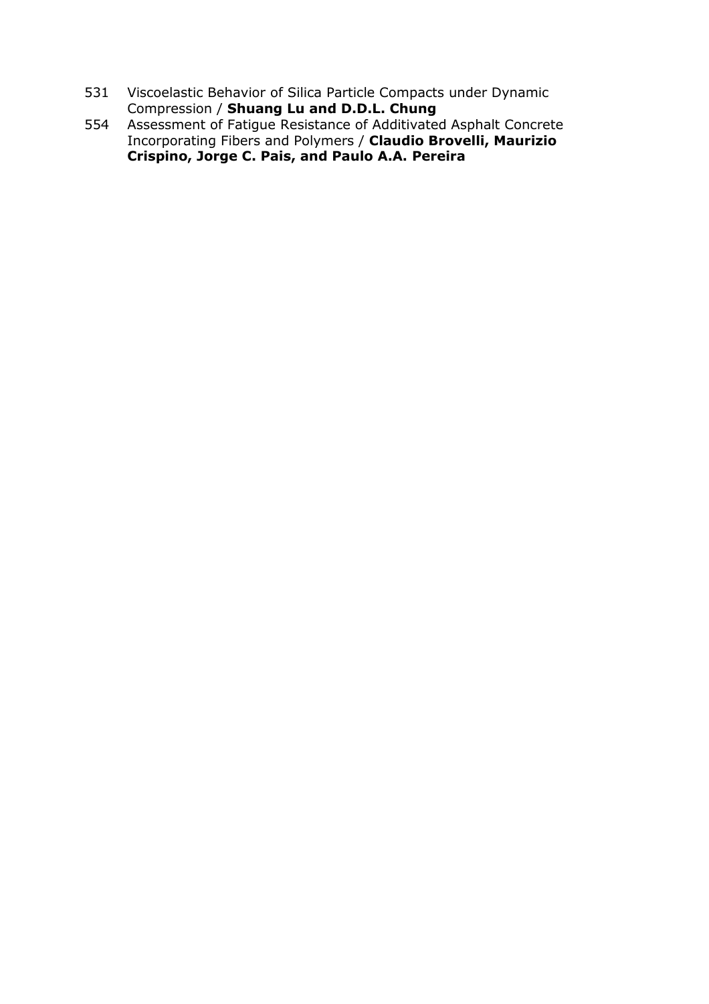- 531 Viscoelastic Behavior of Silica Particle Compacts under Dynamic Compression / **Shuang Lu and D.D.L. Chung**
- 554 Assessment of Fatigue Resistance of Additivated Asphalt Concrete Incorporating Fibers and Polymers / **Claudio Brovelli, Maurizio Crispino, Jorge C. Pais, and Paulo A.A. Pereira**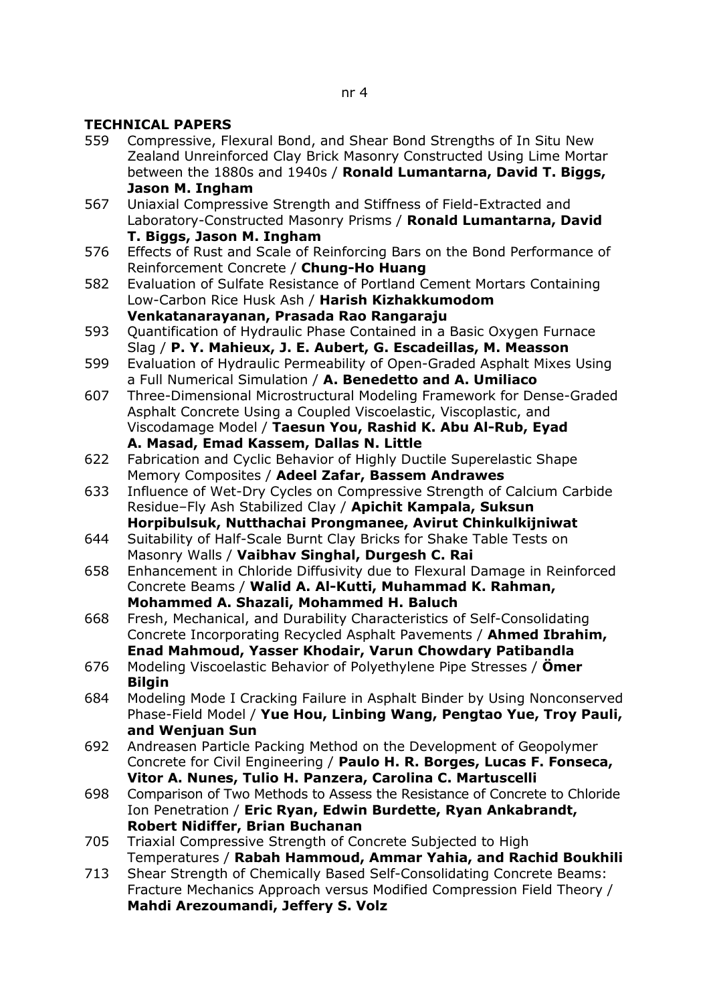- 559 Compressive, Flexural Bond, and Shear Bond Strengths of In Situ New Zealand Unreinforced Clay Brick Masonry Constructed Using Lime Mortar between the 1880s and 1940s / **Ronald Lumantarna, David T. Biggs, Jason M. Ingham**
- 567 Uniaxial Compressive Strength and Stiffness of Field-Extracted and Laboratory-Constructed Masonry Prisms / **Ronald Lumantarna, David T. Biggs, Jason M. Ingham**
- 576 Effects of Rust and Scale of Reinforcing Bars on the Bond Performance of Reinforcement Concrete / **Chung-Ho Huang**
- 582 Evaluation of Sulfate Resistance of Portland Cement Mortars Containing Low-Carbon Rice Husk Ash / **Harish Kizhakkumodom Venkatanarayanan, Prasada Rao Rangaraju**
- 593 Quantification of Hydraulic Phase Contained in a Basic Oxygen Furnace Slag / **P. Y. Mahieux, J. E. Aubert, G. Escadeillas, M. Measson**
- 599 Evaluation of Hydraulic Permeability of Open-Graded Asphalt Mixes Using a Full Numerical Simulation / **A. Benedetto and A. Umiliaco**
- 607 Three-Dimensional Microstructural Modeling Framework for Dense-Graded Asphalt Concrete Using a Coupled Viscoelastic, Viscoplastic, and Viscodamage Model / **Taesun You, Rashid K. Abu Al-Rub, Eyad A. Masad, Emad Kassem, Dallas N. Little**
- 622 Fabrication and Cyclic Behavior of Highly Ductile Superelastic Shape Memory Composites / **Adeel Zafar, Bassem Andrawes**
- 633 Influence of Wet-Dry Cycles on Compressive Strength of Calcium Carbide Residue–Fly Ash Stabilized Clay / **Apichit Kampala, Suksun Horpibulsuk, Nutthachai Prongmanee, Avirut Chinkulkijniwat**
- 644 Suitability of Half-Scale Burnt Clay Bricks for Shake Table Tests on Masonry Walls / **Vaibhav Singhal, Durgesh C. Rai**
- 658 Enhancement in Chloride Diffusivity due to Flexural Damage in Reinforced Concrete Beams / **Walid A. Al-Kutti, Muhammad K. Rahman, Mohammed A. Shazali, Mohammed H. Baluch**
- 668 Fresh, Mechanical, and Durability Characteristics of Self-Consolidating Concrete Incorporating Recycled Asphalt Pavements / **Ahmed Ibrahim, Enad Mahmoud, Yasser Khodair, Varun Chowdary Patibandla**
- 676 Modeling Viscoelastic Behavior of Polyethylene Pipe Stresses / **Ömer Bilgin**
- 684 Modeling Mode I Cracking Failure in Asphalt Binder by Using Nonconserved Phase-Field Model / **Yue Hou, Linbing Wang, Pengtao Yue, Troy Pauli, and Wenjuan Sun**
- 692 Andreasen Particle Packing Method on the Development of Geopolymer Concrete for Civil Engineering / **Paulo H. R. Borges, Lucas F. Fonseca, Vitor A. Nunes, Tulio H. Panzera, Carolina C. Martuscelli**
- 698 Comparison of Two Methods to Assess the Resistance of Concrete to Chloride Ion Penetration / **Eric Ryan, Edwin Burdette, Ryan Ankabrandt, Robert Nidiffer, Brian Buchanan**
- 705 Triaxial Compressive Strength of Concrete Subjected to High Temperatures / **Rabah Hammoud, Ammar Yahia, and Rachid Boukhili**
- 713 Shear Strength of Chemically Based Self-Consolidating Concrete Beams: Fracture Mechanics Approach versus Modified Compression Field Theory / **Mahdi Arezoumandi, Jeffery S. Volz**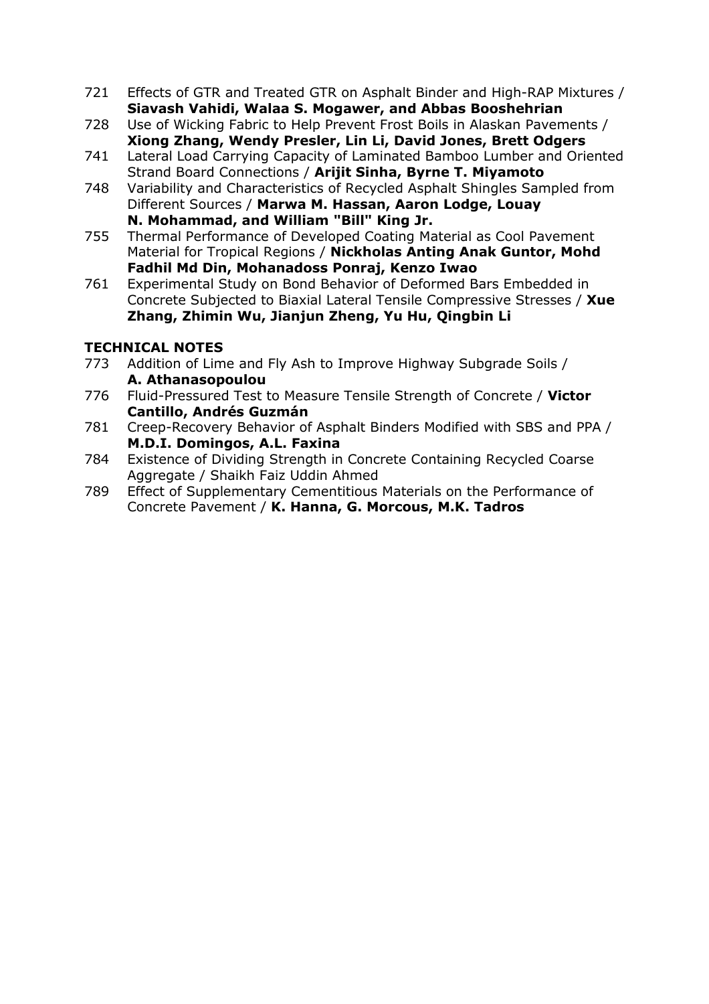- 721 Effects of GTR and Treated GTR on Asphalt Binder and High-RAP Mixtures / **Siavash Vahidi, Walaa S. Mogawer, and Abbas Booshehrian**
- 728 Use of Wicking Fabric to Help Prevent Frost Boils in Alaskan Pavements / **Xiong Zhang, Wendy Presler, Lin Li, David Jones, Brett Odgers**
- 741 Lateral Load Carrying Capacity of Laminated Bamboo Lumber and Oriented Strand Board Connections / **Arijit Sinha, Byrne T. Miyamoto**
- 748 Variability and Characteristics of Recycled Asphalt Shingles Sampled from Different Sources / **Marwa M. Hassan, Aaron Lodge, Louay N. Mohammad, and William "Bill" King Jr.**
- 755 Thermal Performance of Developed Coating Material as Cool Pavement Material for Tropical Regions / **Nickholas Anting Anak Guntor, Mohd Fadhil Md Din, Mohanadoss Ponraj, Kenzo Iwao**
- 761 Experimental Study on Bond Behavior of Deformed Bars Embedded in Concrete Subjected to Biaxial Lateral Tensile Compressive Stresses / **Xue Zhang, Zhimin Wu, Jianjun Zheng, Yu Hu, Qingbin Li**

- 773 Addition of Lime and Fly Ash to Improve Highway Subgrade Soils / **A. Athanasopoulou**
- 776 Fluid-Pressured Test to Measure Tensile Strength of Concrete / **Victor Cantillo, Andrés Guzmán**
- 781 Creep-Recovery Behavior of Asphalt Binders Modified with SBS and PPA / **M.D.I. Domingos, A.L. Faxina**
- 784 Existence of Dividing Strength in Concrete Containing Recycled Coarse Aggregate / Shaikh Faiz Uddin Ahmed
- 789 Effect of Supplementary Cementitious Materials on the Performance of Concrete Pavement / **K. Hanna, G. Morcous, M.K. Tadros**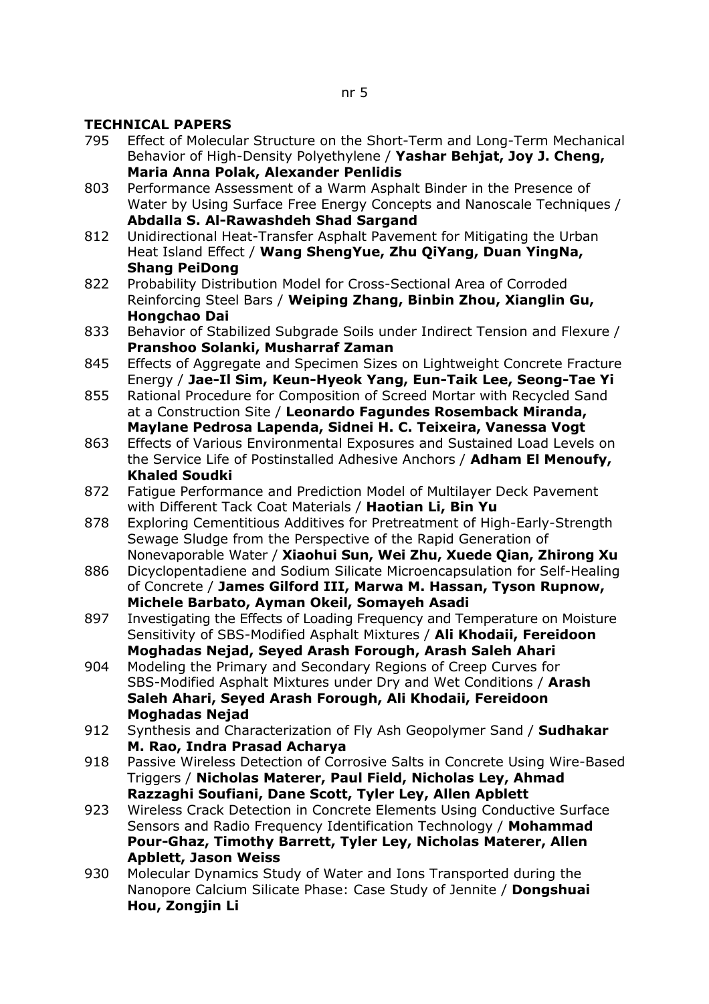- 795 Effect of Molecular Structure on the Short-Term and Long-Term Mechanical Behavior of High-Density Polyethylene / **Yashar Behjat, Joy J. Cheng, Maria Anna Polak, Alexander Penlidis**
- 803 Performance Assessment of a Warm Asphalt Binder in the Presence of Water by Using Surface Free Energy Concepts and Nanoscale Techniques / **Abdalla S. Al-Rawashdeh Shad Sargand**
- 812 Unidirectional Heat-Transfer Asphalt Pavement for Mitigating the Urban Heat Island Effect / **Wang ShengYue, Zhu QiYang, Duan YingNa, Shang PeiDong**
- 822 Probability Distribution Model for Cross-Sectional Area of Corroded Reinforcing Steel Bars / **Weiping Zhang, Binbin Zhou, Xianglin Gu, Hongchao Dai**
- 833 Behavior of Stabilized Subgrade Soils under Indirect Tension and Flexure / **Pranshoo Solanki, Musharraf Zaman**
- 845 Effects of Aggregate and Specimen Sizes on Lightweight Concrete Fracture Energy / **Jae-Il Sim, Keun-Hyeok Yang, Eun-Taik Lee, Seong-Tae Yi**
- 855 Rational Procedure for Composition of Screed Mortar with Recycled Sand at a Construction Site / **Leonardo Fagundes Rosemback Miranda, Maylane Pedrosa Lapenda, Sidnei H. C. Teixeira, Vanessa Vogt**
- 863 Effects of Various Environmental Exposures and Sustained Load Levels on the Service Life of Postinstalled Adhesive Anchors / **Adham El Menoufy, Khaled Soudki**
- 872 Fatigue Performance and Prediction Model of Multilayer Deck Pavement with Different Tack Coat Materials / **Haotian Li, Bin Yu**
- 878 Exploring Cementitious Additives for Pretreatment of High-Early-Strength Sewage Sludge from the Perspective of the Rapid Generation of Nonevaporable Water / **Xiaohui Sun, Wei Zhu, Xuede Qian, Zhirong Xu**
- 886 Dicyclopentadiene and Sodium Silicate Microencapsulation for Self-Healing of Concrete / **James Gilford III, Marwa M. Hassan, Tyson Rupnow, Michele Barbato, Ayman Okeil, Somayeh Asadi**
- 897 Investigating the Effects of Loading Frequency and Temperature on Moisture Sensitivity of SBS-Modified Asphalt Mixtures / **Ali Khodaii, Fereidoon Moghadas Nejad, Seyed Arash Forough, Arash Saleh Ahari**
- 904 Modeling the Primary and Secondary Regions of Creep Curves for SBS-Modified Asphalt Mixtures under Dry and Wet Conditions / **Arash Saleh Ahari, Seyed Arash Forough, Ali Khodaii, Fereidoon Moghadas Nejad**
- 912 Synthesis and Characterization of Fly Ash Geopolymer Sand / **Sudhakar M. Rao, Indra Prasad Acharya**
- 918 Passive Wireless Detection of Corrosive Salts in Concrete Using Wire-Based Triggers / **Nicholas Materer, Paul Field, Nicholas Ley, Ahmad Razzaghi Soufiani, Dane Scott, Tyler Ley, Allen Apblett**
- 923 Wireless Crack Detection in Concrete Elements Using Conductive Surface Sensors and Radio Frequency Identification Technology / **Mohammad Pour-Ghaz, Timothy Barrett, Tyler Ley, Nicholas Materer, Allen Apblett, Jason Weiss**
- 930 Molecular Dynamics Study of Water and Ions Transported during the Nanopore Calcium Silicate Phase: Case Study of Jennite / **Dongshuai Hou, Zongjin Li**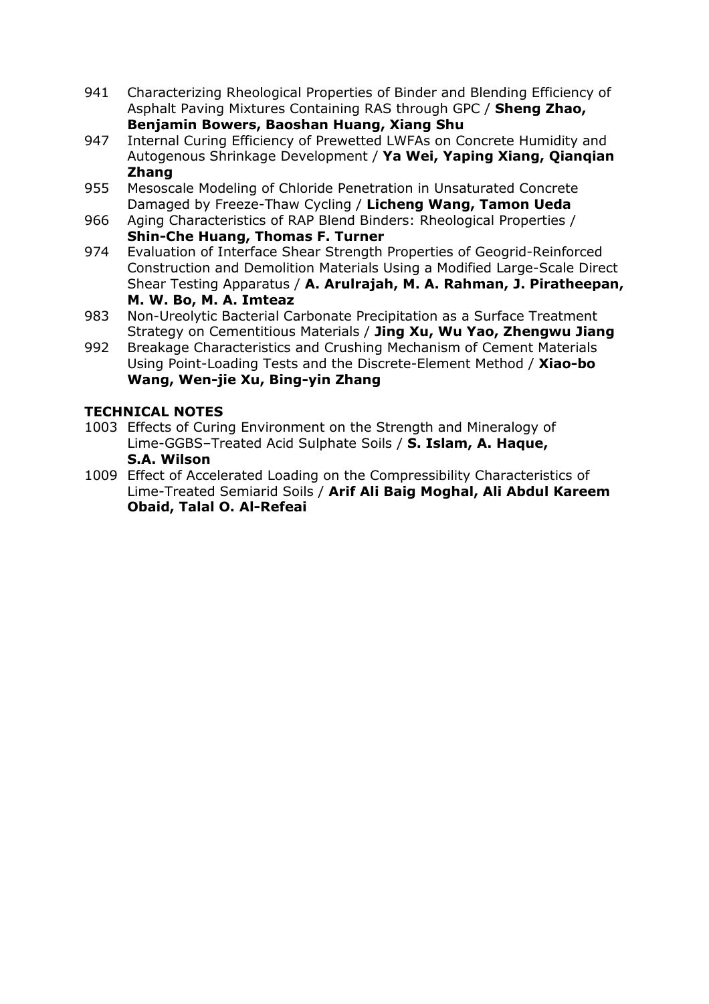- 941 Characterizing Rheological Properties of Binder and Blending Efficiency of Asphalt Paving Mixtures Containing RAS through GPC / **Sheng Zhao, Benjamin Bowers, Baoshan Huang, Xiang Shu**
- 947 Internal Curing Efficiency of Prewetted LWFAs on Concrete Humidity and Autogenous Shrinkage Development / **Ya Wei, Yaping Xiang, Qianqian Zhang**
- 955 Mesoscale Modeling of Chloride Penetration in Unsaturated Concrete Damaged by Freeze-Thaw Cycling / **Licheng Wang, Tamon Ueda**
- 966 Aging Characteristics of RAP Blend Binders: Rheological Properties / **Shin-Che Huang, Thomas F. Turner**
- 974 Evaluation of Interface Shear Strength Properties of Geogrid-Reinforced Construction and Demolition Materials Using a Modified Large-Scale Direct Shear Testing Apparatus / **A. Arulrajah, M. A. Rahman, J. Piratheepan, M. W. Bo, M. A. Imteaz**
- 983 Non-Ureolytic Bacterial Carbonate Precipitation as a Surface Treatment Strategy on Cementitious Materials / **Jing Xu, Wu Yao, Zhengwu Jiang**
- 992 Breakage Characteristics and Crushing Mechanism of Cement Materials Using Point-Loading Tests and the Discrete-Element Method / **Xiao-bo Wang, Wen-jie Xu, Bing-yin Zhang**

- 1003 Effects of Curing Environment on the Strength and Mineralogy of Lime-GGBS–Treated Acid Sulphate Soils / **S. Islam, A. Haque, S.A. Wilson**
- 1009 Effect of Accelerated Loading on the Compressibility Characteristics of Lime-Treated Semiarid Soils / **Arif Ali Baig Moghal, Ali Abdul Kareem Obaid, Talal O. Al-Refeai**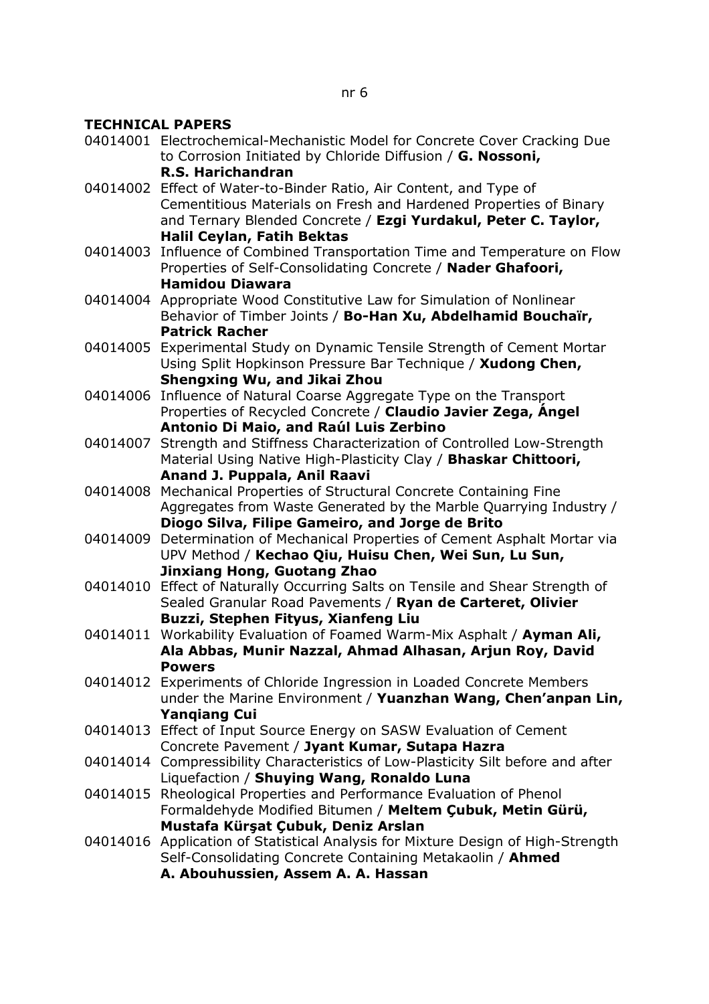- 04014001 Electrochemical-Mechanistic Model for Concrete Cover Cracking Due to Corrosion Initiated by Chloride Diffusion / **G. Nossoni, R.S. Harichandran**
- 04014002 Effect of Water-to-Binder Ratio, Air Content, and Type of Cementitious Materials on Fresh and Hardened Properties of Binary and Ternary Blended Concrete / **Ezgi Yurdakul, Peter C. Taylor, Halil Ceylan, Fatih Bektas**
- 04014003 Influence of Combined Transportation Time and Temperature on Flow Properties of Self-Consolidating Concrete / **Nader Ghafoori, Hamidou Diawara**
- 04014004 Appropriate Wood Constitutive Law for Simulation of Nonlinear Behavior of Timber Joints / **Bo-Han Xu, Abdelhamid Bouchaïr, Patrick Racher**
- 04014005 Experimental Study on Dynamic Tensile Strength of Cement Mortar Using Split Hopkinson Pressure Bar Technique / **Xudong Chen, Shengxing Wu, and Jikai Zhou**
- 04014006 Influence of Natural Coarse Aggregate Type on the Transport Properties of Recycled Concrete / **Claudio Javier Zega, Ángel Antonio Di Maio, and Raúl Luis Zerbino**
- 04014007 Strength and Stiffness Characterization of Controlled Low-Strength Material Using Native High-Plasticity Clay / **Bhaskar Chittoori, Anand J. Puppala, Anil Raavi**
- 04014008 Mechanical Properties of Structural Concrete Containing Fine Aggregates from Waste Generated by the Marble Quarrying Industry / **Diogo Silva, Filipe Gameiro, and Jorge de Brito**
- 04014009 Determination of Mechanical Properties of Cement Asphalt Mortar via UPV Method / **Kechao Qiu, Huisu Chen, Wei Sun, Lu Sun, Jinxiang Hong, Guotang Zhao**
- 04014010 Effect of Naturally Occurring Salts on Tensile and Shear Strength of Sealed Granular Road Pavements / **Ryan de Carteret, Olivier Buzzi, Stephen Fityus, Xianfeng Liu**
- 04014011 Workability Evaluation of Foamed Warm-Mix Asphalt / **Ayman Ali, Ala Abbas, Munir Nazzal, Ahmad Alhasan, Arjun Roy, David Powers**
- 04014012 Experiments of Chloride Ingression in Loaded Concrete Members under the Marine Environment / **Yuanzhan Wang, Chen'anpan Lin, Yanqiang Cui**
- 04014013 Effect of Input Source Energy on SASW Evaluation of Cement Concrete Pavement / **Jyant Kumar, Sutapa Hazra**
- 04014014 Compressibility Characteristics of Low-Plasticity Silt before and after Liquefaction / **Shuying Wang, Ronaldo Luna**
- 04014015 Rheological Properties and Performance Evaluation of Phenol Formaldehyde Modified Bitumen / **Meltem Çubuk, Metin Gürü, Mustafa Kürşat Çubuk, Deniz Arslan**
- 04014016 Application of Statistical Analysis for Mixture Design of High-Strength Self-Consolidating Concrete Containing Metakaolin / **Ahmed A. Abouhussien, Assem A. A. Hassan**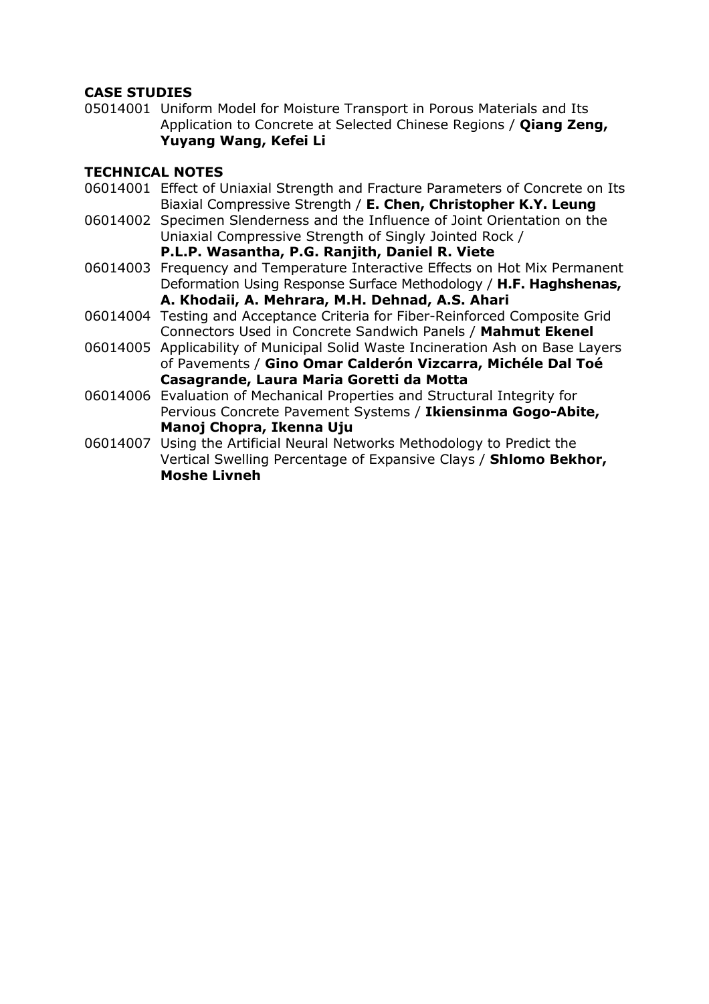# **CASE STUDIES**

05014001 Uniform Model for Moisture Transport in Porous Materials and Its Application to Concrete at Selected Chinese Regions / **Qiang Zeng, Yuyang Wang, Kefei Li** 

- 06014001 Effect of Uniaxial Strength and Fracture Parameters of Concrete on Its Biaxial Compressive Strength / **E. Chen, Christopher K.Y. Leung**  06014002 Specimen Slenderness and the Influence of Joint Orientation on the Uniaxial Compressive Strength of Singly Jointed Rock / **P.L.P. Wasantha, P.G. Ranjith, Daniel R. Viete**  06014003 Frequency and Temperature Interactive Effects on Hot Mix Permanent Deformation Using Response Surface Methodology / **H.F. Haghshenas, A. Khodaii, A. Mehrara, M.H. Dehnad, A.S. Ahari** 06014004 Testing and Acceptance Criteria for Fiber-Reinforced Composite Grid Connectors Used in Concrete Sandwich Panels / **Mahmut Ekenel**  06014005 Applicability of Municipal Solid Waste Incineration Ash on Base Layers of Pavements / **Gino Omar Calderón Vizcarra, Michéle Dal Toé Casagrande, Laura Maria Goretti da Motta** 06014006 Evaluation of Mechanical Properties and Structural Integrity for Pervious Concrete Pavement Systems / **Ikiensinma Gogo-Abite, Manoj Chopra, Ikenna Uju**
- 06014007 Using the Artificial Neural Networks Methodology to Predict the Vertical Swelling Percentage of Expansive Clays / **Shlomo Bekhor, Moshe Livneh**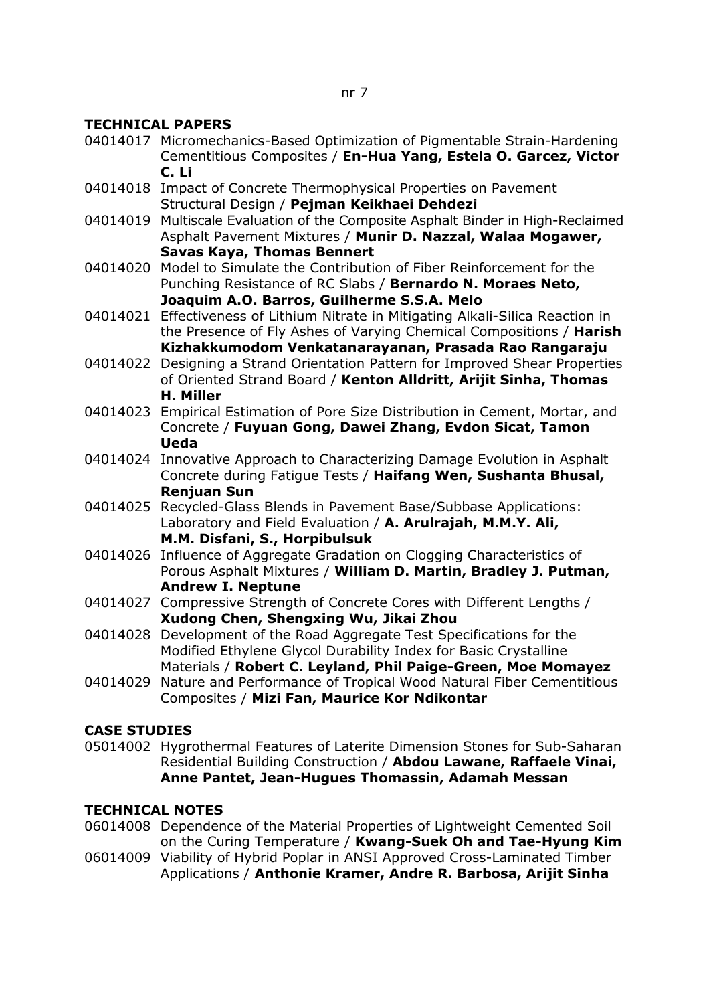- 04014017 Micromechanics-Based Optimization of Pigmentable Strain-Hardening Cementitious Composites / **En-Hua Yang, Estela O. Garcez, Victor C. Li**
- 04014018 Impact of Concrete Thermophysical Properties on Pavement Structural Design / **Pejman Keikhaei Dehdezi**
- 04014019 Multiscale Evaluation of the Composite Asphalt Binder in High-Reclaimed Asphalt Pavement Mixtures / **Munir D. Nazzal, Walaa Mogawer, Savas Kaya, Thomas Bennert**
- 04014020 Model to Simulate the Contribution of Fiber Reinforcement for the Punching Resistance of RC Slabs / **Bernardo N. Moraes Neto, Joaquim A.O. Barros, Guilherme S.S.A. Melo**
- 04014021 Effectiveness of Lithium Nitrate in Mitigating Alkali-Silica Reaction in the Presence of Fly Ashes of Varying Chemical Compositions / **Harish Kizhakkumodom Venkatanarayanan, Prasada Rao Rangaraju**
- 04014022 Designing a Strand Orientation Pattern for Improved Shear Properties of Oriented Strand Board / **Kenton Alldritt, Arijit Sinha, Thomas H. Miller**
- 04014023 Empirical Estimation of Pore Size Distribution in Cement, Mortar, and Concrete / **Fuyuan Gong, Dawei Zhang, Evdon Sicat, Tamon Ueda**
- 04014024 Innovative Approach to Characterizing Damage Evolution in Asphalt Concrete during Fatigue Tests / **Haifang Wen, Sushanta Bhusal, Renjuan Sun**
- 04014025 Recycled-Glass Blends in Pavement Base/Subbase Applications: Laboratory and Field Evaluation / **A. Arulrajah, M.M.Y. Ali, M.M. Disfani, S., Horpibulsuk**
- 04014026 Influence of Aggregate Gradation on Clogging Characteristics of Porous Asphalt Mixtures / **William D. Martin, Bradley J. Putman, Andrew I. Neptune**
- 04014027 Compressive Strength of Concrete Cores with Different Lengths / **Xudong Chen, Shengxing Wu, Jikai Zhou**
- 04014028 Development of the Road Aggregate Test Specifications for the Modified Ethylene Glycol Durability Index for Basic Crystalline Materials / **Robert C. Leyland, Phil Paige-Green, Moe Momayez**
- 04014029 Nature and Performance of Tropical Wood Natural Fiber Cementitious Composites / **Mizi Fan, Maurice Kor Ndikontar**

#### **CASE STUDIES**

05014002 Hygrothermal Features of Laterite Dimension Stones for Sub-Saharan Residential Building Construction / **Abdou Lawane, Raffaele Vinai, Anne Pantet, Jean-Hugues Thomassin, Adamah Messan** 

- 06014008 Dependence of the Material Properties of Lightweight Cemented Soil on the Curing Temperature / **Kwang-Suek Oh and Tae-Hyung Kim**
- 06014009 Viability of Hybrid Poplar in ANSI Approved Cross-Laminated Timber Applications / **Anthonie Kramer, Andre R. Barbosa, Arijit Sinha**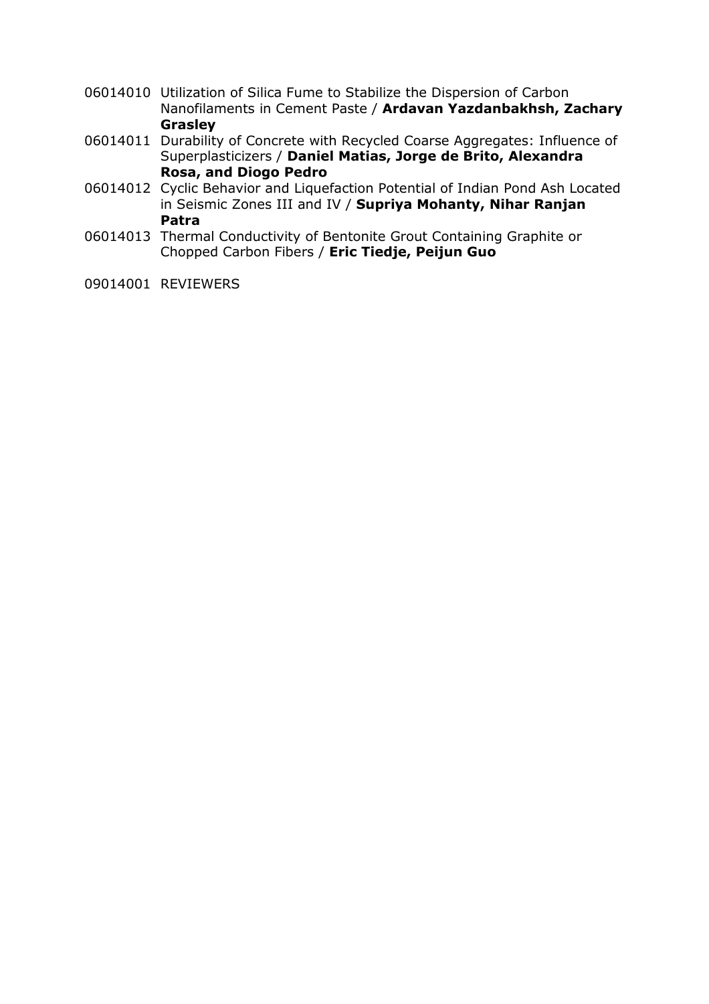- 06014010 Utilization of Silica Fume to Stabilize the Dispersion of Carbon Nanofilaments in Cement Paste / **Ardavan Yazdanbakhsh, Zachary Grasley**
- 06014011 Durability of Concrete with Recycled Coarse Aggregates: Influence of Superplasticizers / **Daniel Matias, Jorge de Brito, Alexandra Rosa, and Diogo Pedro**
- 06014012 Cyclic Behavior and Liquefaction Potential of Indian Pond Ash Located in Seismic Zones III and IV / **Supriya Mohanty, Nihar Ranjan Patra**
- 06014013 Thermal Conductivity of Bentonite Grout Containing Graphite or Chopped Carbon Fibers / **Eric Tiedje, Peijun Guo**
- 09014001 REVIEWERS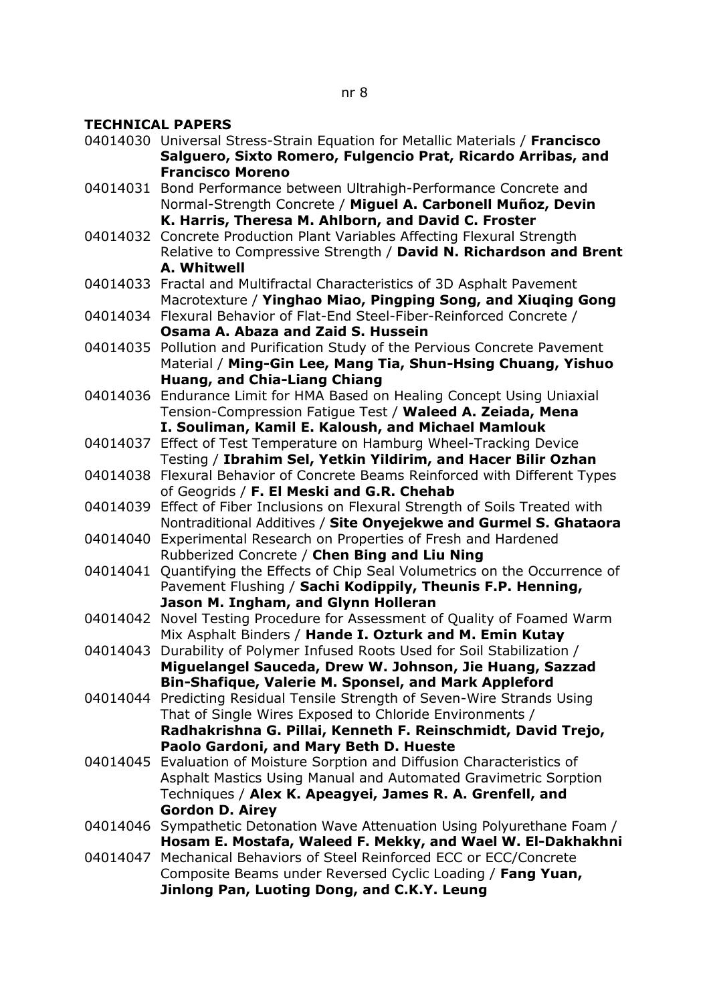- 04014030 Universal Stress-Strain Equation for Metallic Materials / **Francisco Salguero, Sixto Romero, Fulgencio Prat, Ricardo Arribas, and Francisco Moreno**
- 04014031 Bond Performance between Ultrahigh-Performance Concrete and Normal-Strength Concrete / **Miguel A. Carbonell Muñoz, Devin K. Harris, Theresa M. Ahlborn, and David C. Froster**
- 04014032 Concrete Production Plant Variables Affecting Flexural Strength Relative to Compressive Strength / **David N. Richardson and Brent A. Whitwell**
- 04014033 Fractal and Multifractal Characteristics of 3D Asphalt Pavement Macrotexture / **Yinghao Miao, Pingping Song, and Xiuqing Gong**
- 04014034 Flexural Behavior of Flat-End Steel-Fiber-Reinforced Concrete / **Osama A. Abaza and Zaid S. Hussein**
- 04014035 Pollution and Purification Study of the Pervious Concrete Pavement Material / **Ming-Gin Lee, Mang Tia, Shun-Hsing Chuang, Yishuo Huang, and Chia-Liang Chiang**
- 04014036 Endurance Limit for HMA Based on Healing Concept Using Uniaxial Tension-Compression Fatigue Test / **Waleed A. Zeiada, Mena I. Souliman, Kamil E. Kaloush, and Michael Mamlouk**
- 04014037 Effect of Test Temperature on Hamburg Wheel-Tracking Device Testing / **Ibrahim Sel, Yetkin Yildirim, and Hacer Bilir Ozhan**
- 04014038 Flexural Behavior of Concrete Beams Reinforced with Different Types of Geogrids / **F. El Meski and G.R. Chehab**
- 04014039 Effect of Fiber Inclusions on Flexural Strength of Soils Treated with Nontraditional Additives / **Site Onyejekwe and Gurmel S. Ghataora**
- 04014040 Experimental Research on Properties of Fresh and Hardened Rubberized Concrete / **Chen Bing and Liu Ning**
- 04014041 Quantifying the Effects of Chip Seal Volumetrics on the Occurrence of Pavement Flushing / **Sachi Kodippily, Theunis F.P. Henning, Jason M. Ingham, and Glynn Holleran**
- 04014042 Novel Testing Procedure for Assessment of Quality of Foamed Warm Mix Asphalt Binders / **Hande I. Ozturk and M. Emin Kutay**
- 04014043 Durability of Polymer Infused Roots Used for Soil Stabilization / **Miguelangel Sauceda, Drew W. Johnson, Jie Huang, Sazzad Bin-Shafique, Valerie M. Sponsel, and Mark Appleford**
- 04014044 Predicting Residual Tensile Strength of Seven-Wire Strands Using That of Single Wires Exposed to Chloride Environments / **Radhakrishna G. Pillai, Kenneth F. Reinschmidt, David Trejo, Paolo Gardoni, and Mary Beth D. Hueste**
- 04014045 Evaluation of Moisture Sorption and Diffusion Characteristics of Asphalt Mastics Using Manual and Automated Gravimetric Sorption Techniques / **Alex K. Apeagyei, James R. A. Grenfell, and Gordon D. Airey**
- 04014046 Sympathetic Detonation Wave Attenuation Using Polyurethane Foam / **Hosam E. Mostafa, Waleed F. Mekky, and Wael W. El-Dakhakhni**
- 04014047 Mechanical Behaviors of Steel Reinforced ECC or ECC/Concrete Composite Beams under Reversed Cyclic Loading / **Fang Yuan, Jinlong Pan, Luoting Dong, and C.K.Y. Leung**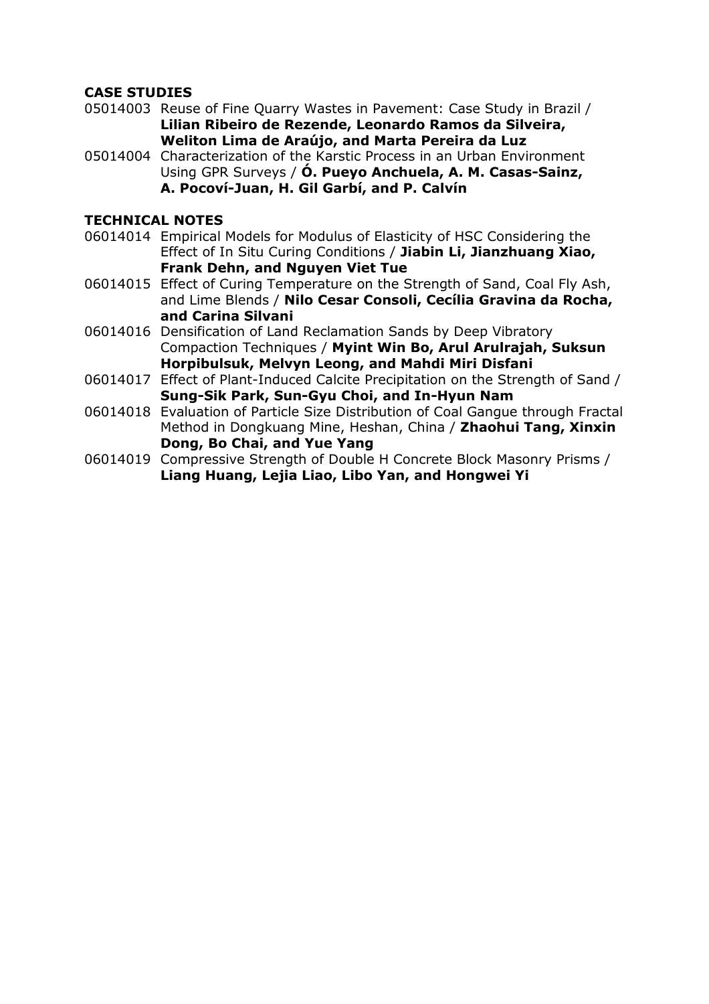## **CASE STUDIES**

- 05014003 Reuse of Fine Quarry Wastes in Pavement: Case Study in Brazil / **Lilian Ribeiro de Rezende, Leonardo Ramos da Silveira, Weliton Lima de Araújo, and Marta Pereira da Luz**
- 05014004 Characterization of the Karstic Process in an Urban Environment Using GPR Surveys / **Ó. Pueyo Anchuela, A. M. Casas-Sainz, A. Pocoví-Juan, H. Gil Garbí, and P. Calvín**

- 06014014 Empirical Models for Modulus of Elasticity of HSC Considering the Effect of In Situ Curing Conditions / **Jiabin Li, Jianzhuang Xiao, Frank Dehn, and Nguyen Viet Tue**
- 06014015 Effect of Curing Temperature on the Strength of Sand, Coal Fly Ash, and Lime Blends / **Nilo Cesar Consoli, Cecília Gravina da Rocha, and Carina Silvani**
- 06014016 Densification of Land Reclamation Sands by Deep Vibratory Compaction Techniques / **Myint Win Bo, Arul Arulrajah, Suksun Horpibulsuk, Melvyn Leong, and Mahdi Miri Disfani**
- 06014017 Effect of Plant-Induced Calcite Precipitation on the Strength of Sand / **Sung-Sik Park, Sun-Gyu Choi, and In-Hyun Nam**
- 06014018 Evaluation of Particle Size Distribution of Coal Gangue through Fractal Method in Dongkuang Mine, Heshan, China / **Zhaohui Tang, Xinxin Dong, Bo Chai, and Yue Yang**
- 06014019 Compressive Strength of Double H Concrete Block Masonry Prisms / **Liang Huang, Lejia Liao, Libo Yan, and Hongwei Yi**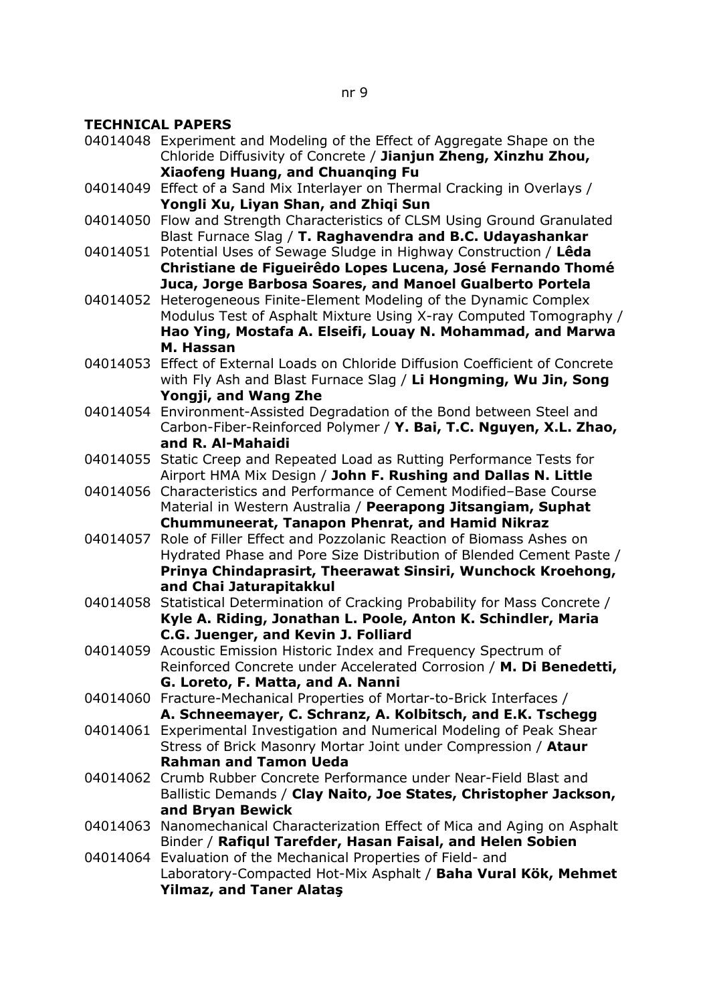- 04014048 Experiment and Modeling of the Effect of Aggregate Shape on the Chloride Diffusivity of Concrete / **Jianjun Zheng, Xinzhu Zhou, Xiaofeng Huang, and Chuanqing Fu**
- 04014049 Effect of a Sand Mix Interlayer on Thermal Cracking in Overlays / **Yongli Xu, Liyan Shan, and Zhiqi Sun**
- 04014050 Flow and Strength Characteristics of CLSM Using Ground Granulated Blast Furnace Slag / **T. Raghavendra and B.C. Udayashankar**
- 04014051 Potential Uses of Sewage Sludge in Highway Construction / **Lêda Christiane de Figueirêdo Lopes Lucena, José Fernando Thomé Juca, Jorge Barbosa Soares, and Manoel Gualberto Portela**
- 04014052 Heterogeneous Finite-Element Modeling of the Dynamic Complex Modulus Test of Asphalt Mixture Using X-ray Computed Tomography / **Hao Ying, Mostafa A. Elseifi, Louay N. Mohammad, and Marwa M. Hassan**
- 04014053 Effect of External Loads on Chloride Diffusion Coefficient of Concrete with Fly Ash and Blast Furnace Slag / **Li Hongming, Wu Jin, Song Yongji, and Wang Zhe**
- 04014054 Environment-Assisted Degradation of the Bond between Steel and Carbon-Fiber-Reinforced Polymer / **Y. Bai, T.C. Nguyen, X.L. Zhao, and R. Al-Mahaidi**
- 04014055 Static Creep and Repeated Load as Rutting Performance Tests for Airport HMA Mix Design / **John F. Rushing and Dallas N. Little**
- 04014056 Characteristics and Performance of Cement Modified–Base Course Material in Western Australia / **Peerapong Jitsangiam, Suphat Chummuneerat, Tanapon Phenrat, and Hamid Nikraz**
- 04014057 Role of Filler Effect and Pozzolanic Reaction of Biomass Ashes on Hydrated Phase and Pore Size Distribution of Blended Cement Paste / **Prinya Chindaprasirt, Theerawat Sinsiri, Wunchock Kroehong, and Chai Jaturapitakkul**
- 04014058 Statistical Determination of Cracking Probability for Mass Concrete / **Kyle A. Riding, Jonathan L. Poole, Anton K. Schindler, Maria C.G. Juenger, and Kevin J. Folliard**
- 04014059 Acoustic Emission Historic Index and Frequency Spectrum of Reinforced Concrete under Accelerated Corrosion / **M. Di Benedetti, G. Loreto, F. Matta, and A. Nanni**
- 04014060 Fracture-Mechanical Properties of Mortar-to-Brick Interfaces / **A. Schneemayer, C. Schranz, A. Kolbitsch, and E.K. Tschegg**
- 04014061 Experimental Investigation and Numerical Modeling of Peak Shear Stress of Brick Masonry Mortar Joint under Compression / **Ataur Rahman and Tamon Ueda**
- 04014062 Crumb Rubber Concrete Performance under Near-Field Blast and Ballistic Demands / **Clay Naito, Joe States, Christopher Jackson, and Bryan Bewick**
- 04014063 Nanomechanical Characterization Effect of Mica and Aging on Asphalt Binder / **Rafiqul Tarefder, Hasan Faisal, and Helen Sobien**
- 04014064 Evaluation of the Mechanical Properties of Field- and Laboratory-Compacted Hot-Mix Asphalt / **Baha Vural Kök, Mehmet Yilmaz, and Taner Alataş**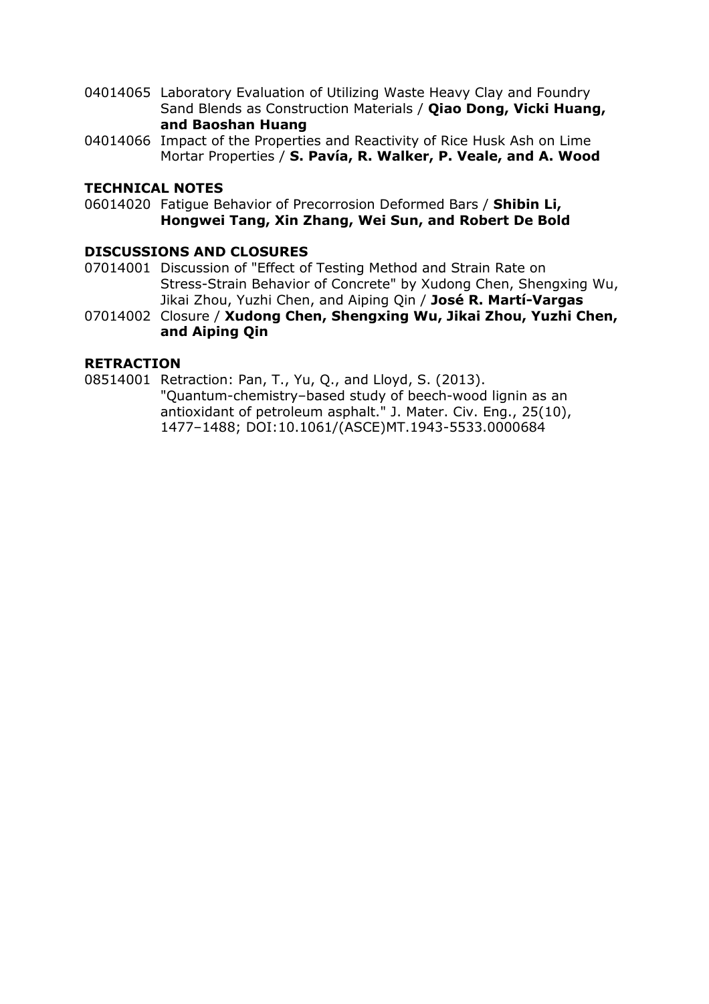- 04014065 Laboratory Evaluation of Utilizing Waste Heavy Clay and Foundry Sand Blends as Construction Materials / **Qiao Dong, Vicki Huang, and Baoshan Huang**
- 04014066 Impact of the Properties and Reactivity of Rice Husk Ash on Lime Mortar Properties / **S. Pavía, R. Walker, P. Veale, and A. Wood**

06014020 Fatigue Behavior of Precorrosion Deformed Bars / **Shibin Li, Hongwei Tang, Xin Zhang, Wei Sun, and Robert De Bold** 

### **DISCUSSIONS AND CLOSURES**

- 07014001 Discussion of "Effect of Testing Method and Strain Rate on Stress-Strain Behavior of Concrete" by Xudong Chen, Shengxing Wu, Jikai Zhou, Yuzhi Chen, and Aiping Qin / **José R. Martí-Vargas**
- 07014002 Closure / **Xudong Chen, Shengxing Wu, Jikai Zhou, Yuzhi Chen, and Aiping Qin**

### **RETRACTION**

- 08514001 Retraction: Pan, T., Yu, Q., and Lloyd, S. (2013).
	- "Quantum-chemistry–based study of beech-wood lignin as an antioxidant of petroleum asphalt." J. Mater. Civ. Eng., 25(10), 1477–1488; DOI:10.1061/(ASCE)MT.1943-5533.0000684